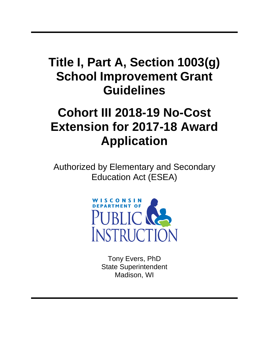## **Title I, Part A, Section 1003(g) School Improvement Grant Guidelines**

# **Cohort III 2018-19 No-Cost Extension for 2017-18 Award Application**

Authorized by Elementary and Secondary Education Act (ESEA)



Tony Evers, PhD State Superintendent Madison, WI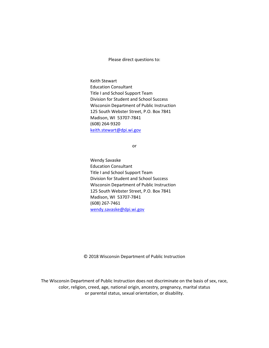Please direct questions to:

<u>[keith.stewart@dpi.wi.gov](mailto:keith.stewart@dpi.wi.gov)</u> Keith Stewart Education Consultant Title I and School Support Team Division for Student and School Success Wisconsin Department of Public Instruction 125 South Webster Street, P.O. Box 7841 Madison, WI 53707-7841 (608) 264-9320

or

Wendy Savaske Education Consultant Title I and School Support Team Division for Student and School Success Wisconsin Department of Public Instruction 125 South Webster Street, P.O. Box 7841 Madison, WI 53707-7841 (608) 267-7461 [wendy.savaske@dpi.wi.gov](mailto:wendy.savaske@dpi.wi.gov)

© 2018 Wisconsin Department of Public Instruction

The Wisconsin Department of Public Instruction does not discriminate on the basis of sex, race, color, religion, creed, age, national origin, ancestry, pregnancy, marital status or parental status, sexual orientation, or disability.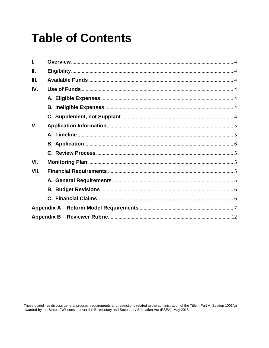## **Table of Contents**

| Ш.   |  |  |  |  |  |
|------|--|--|--|--|--|
| Ш.   |  |  |  |  |  |
| IV.  |  |  |  |  |  |
|      |  |  |  |  |  |
|      |  |  |  |  |  |
|      |  |  |  |  |  |
| V.   |  |  |  |  |  |
|      |  |  |  |  |  |
|      |  |  |  |  |  |
|      |  |  |  |  |  |
| VI.  |  |  |  |  |  |
| VII. |  |  |  |  |  |
|      |  |  |  |  |  |
|      |  |  |  |  |  |
|      |  |  |  |  |  |
|      |  |  |  |  |  |
|      |  |  |  |  |  |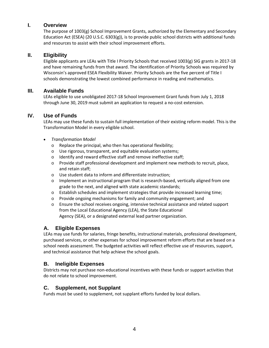#### **I. Overview**

The purpose of 1003(g) School Improvement Grants, authorized by the Elementary and Secondary Education Act (ESEA) (20 U.S.C. 6303(g)), is to provide public school districts with additional funds and resources to assist with their school improvement efforts.

#### **II. Eligibility**

Eligible applicants are LEAs with Title I Priority Schools that received 1003(g) SIG grants in 2017-18 and have remaining funds from that award. The identification of Priority Schools was required by Wisconsin's approved ESEA Flexibility Waiver. Priority Schools are the five percent of Title I schools demonstrating the lowest combined performance in reading and mathematics.

### **III. Available Funds**

LEAs eligible to use unobligated 2017-18 School Improvement Grant funds from July 1, 2018 through June 30, 2019 must submit an application to request a no-cost extension.

### **IV. Use of Funds**

LEAs may use these funds to sustain full implementation of their existing reform model. This is the Transformation Model in every eligible school.

- *Transformation Model*
	- o Replace the principal, who then has operational flexibility;
	- o Use rigorous, transparent, and equitable evaluation systems;
	- o Identify and reward effective staff and remove ineffective staff;
	- $\circ$  Provide staff professional development and implement new methods to recruit, place, and retain staff;
	- o Use student data to inform and differentiate instruction;
	- $\circ$  Implement an instructional program that is research-based, vertically aligned from one grade to the next, and aligned with state academic standards;
	- o Establish schedules and implement strategies that provide increased learning time;
	- o Provide ongoing mechanisms for family and community engagement; and
	- o Ensure the school receives ongoing, intensive technical assistance and related support from the Local Educational Agency (LEA), the State Educational Agency (SEA), or a designated external lead partner organization.

### **A. Eligible Expenses**

LEAs may use funds for salaries, fringe benefits, instructional materials, professional development, purchased services, or other expenses for school improvement reform efforts that are based on a school needs assessment. The budgeted activities will reflect effective use of resources, support, and technical assistance that help achieve the school goals.

### **B. Ineligible Expenses**

Districts may not purchase non-educational incentives with these funds or support activities that do not relate to school improvement.

### **C. Supplement, not Supplant**

Funds must be used to supplement, not supplant efforts funded by local dollars.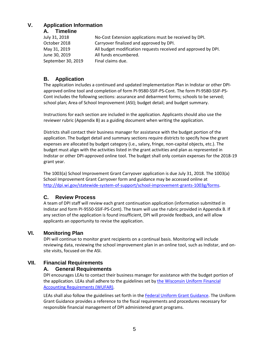## **V. Application Information**

**A. Timeline**

| July 31, 2018      | No-Cost Extension applications must be received by DPI.        |
|--------------------|----------------------------------------------------------------|
| October 2018       | Carryover finalized and approved by DPI.                       |
| May 31, 2019       | All budget modification requests received and approved by DPI. |
| June 30, 2019      | All funds encumbered.                                          |
| September 30, 2019 | Final claims due.                                              |

## **B. Application**

The application includes a continued and updated Implementation Plan in Indistar or other DPIapproved online tool and completion of form PI-9580-SSIF-PS-Cont. The form PI-9580-SSIF-PS-Cont includes the following sections: assurance and debarment forms; schools to be served; school plan; Area of School Improvement (ASI); budget detail; and budget summary.

Instructions for each section are included in the application. Applicants should also use the reviewer rubric (Appendix B) as a guiding document when writing the application.

Districts shall contact their business manager for assistance with the budget portion of the application. The budget detail and summary sections require districts to specify how the grant expenses are allocated by budget category (i.e., salary, fringe, non-capital objects, etc.). The budget must align with the activities listed in the grant activities and plan as represented in Indistar or other DPI-approved online tool. The budget shall only contain expenses for the 2018-19 grant year.

The 1003(a) School Improvement Grant Carryover application is due July 31, 2018. The 1003(a) School Improvement Grant Carryover form and guidance may be accessed online at [http://dpi.wi.gov/statewide-system-of-support/school-improvement-grants-1003g/forms.](http://dpi.wi.gov/statewide-system-of-support/school-improvement-grants-1003g/forms)

## **C. Review Process**

A team of DPI staff will review each grant continuation application (information submitted in Indistar and form PI-9550-SSIF-PS-Cont). The team will use the rubric provided in Appendix B. If any section of the application is found insufficient, DPI will provide feedback, and will allow applicants an opportunity to revise the application.

## **VI. Monitoring Plan**

DPI will continue to monitor grant recipients on a continual basis. Monitoring will include reviewing data, reviewing the school improvement plan in an online tool, such as Indistar, and onsite visits, focused on the ASI.

## **VII. Financial Requirements**

### **A. General Requirements**

DPI encourages LEAs to contact their business manager for assistance with the budget portion of the application. LEAs shall adhere to the guidelines set by the Wisconsin Uniform Financial Accounting [Requirements \(WUFAR\).](http://dpi.wi.gov/sfs/finances/wufar/overview)

LEAs shall also follow the guidelines set forth in the [Federal Uniform Grant Guidance.](http://dpi.wi.gov/wisegrants/uniform-grant-guidance) The Uniform Grant Guidance provides a reference to the fiscal requirements and procedures necessary for responsible financial management of DPI administered grant programs.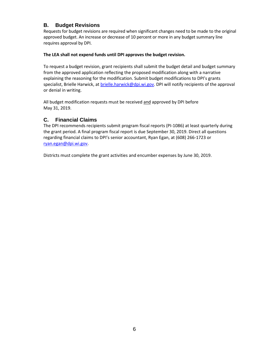## **B. Budget Revisions**

Requests for budget revisions are required when significant changes need to be made to the original approved budget. An increase or decrease of 10 percent or more in any budget summary line requires approval by DPI.

#### **The LEA shall not expend funds until DPI approves the budget revision.**

To request a budget revision, grant recipients shall submit the budget detail and budget summary from the approved application reflecting the proposed modification along with a narrative explaining the reasoning for the modification. Submit budget modifications to DPI's grants specialist, Brielle Harwick, at [brielle.harwick@dpi.wi.gov.](mailto:brielle.harwick@dpi.wi.gov) DPI will notify recipients of the approval or denial in writing.

All budget modification requests must be received and approved by DPI before May 31, 2019.

### **C. Financial Claims**

The DPI recommends recipients submit program fiscal reports (PI-1086) at least quarterly during the grant period. A final program fiscal report is due September 30, 2019. Direct all questions regarding financial claims to DPI's senior accountant, Ryan Egan, at (608) 266-1723 or [ryan.egan@dpi.wi.gov.](mailto:ryan.egan@dpi.wi.gov)

Districts must complete the grant activities and encumber expenses by June 30, 2019.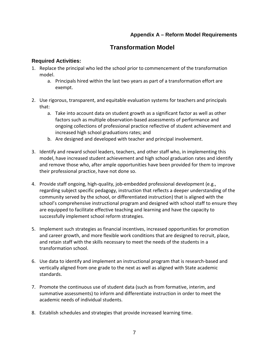## **Appendix A – Reform Model Requirements**

## **Transformation Model**

### **Required Activities:**

- 1. Replace the principal who led the school prior to commencement of the transformation model.
	- a. Principals hired within the last two years as part of a transformation effort are exempt.
- 2. Use rigorous, transparent, and equitable evaluation systems for teachers and principals that:
	- a. Take into account data on student growth as a significant factor as well as other factors such as multiple observation-based assessments of performance and ongoing collections of professional practice reflective of student achievement and increased high school graduations rates; and
	- b. Are designed and developed with teacher and principal involvement.
- 3. Identify and reward school leaders, teachers, and other staff who, in implementing this model, have increased student achievement and high school graduation rates and identify and remove those who, after ample opportunities have been provided for them to improve their professional practice, have not done so.
- 4. Provide staff ongoing, high-quality, job-embedded professional development (e.g., regarding subject specific pedagogy, instruction that reflects a deeper understanding of the community served by the school, or differentiated instruction) that is aligned with the school's comprehensive instructional program and designed with school staff to ensure they are equipped to facilitate effective teaching and learning and have the capacity to successfully implement school reform strategies.
- 5. Implement such strategies as financial incentives, increased opportunities for promotion and career growth, and more flexible work conditions that are designed to recruit, place, and retain staff with the skills necessary to meet the needs of the students in a transformation school.
- 6. Use data to identify and implement an instructional program that is research-based and vertically aligned from one grade to the next as well as aligned with State academic standards.
- 7. Promote the continuous use of student data (such as from formative, interim, and summative assessments) to inform and differentiate instruction in order to meet the academic needs of individual students.
- 8. Establish schedules and strategies that provide increased learning time.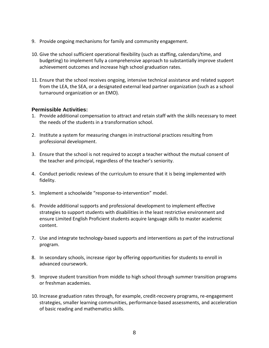- 9. Provide ongoing mechanisms for family and community engagement.
- 10. Give the school sufficient operational flexibility (such as staffing, calendars/time, and budgeting) to implement fully a comprehensive approach to substantially improve student achievement outcomes and increase high school graduation rates.
- 11. Ensure that the school receives ongoing, intensive technical assistance and related support from the LEA, the SEA, or a designated external lead partner organization (such as a school turnaround organization or an EMO).

#### **Permissible Activities:**

- 1. Provide additional compensation to attract and retain staff with the skills necessary to meet the needs of the students in a transformation school.
- 2. Institute a system for measuring changes in instructional practices resulting from professional development.
- 3. Ensure that the school is not required to accept a teacher without the mutual consent of the teacher and principal, regardless of the teacher's seniority.
- 4. Conduct periodic reviews of the curriculum to ensure that it is being implemented with fidelity.
- 5. Implement a schoolwide "response-to-intervention" model.
- 6. Provide additional supports and professional development to implement effective strategies to support students with disabilities in the least restrictive environment and ensure Limited English Proficient students acquire language skills to master academic content.
- 7. Use and integrate technology-based supports and interventions as part of the instructional program.
- 8. In secondary schools, increase rigor by offering opportunities for students to enroll in advanced coursework.
- 9. Improve student transition from middle to high school through summer transition programs or freshman academies.
- 10. Increase graduation rates through, for example, credit-recovery programs, re-engagement strategies, smaller learning communities, performance-based assessments, and acceleration of basic reading and mathematics skills.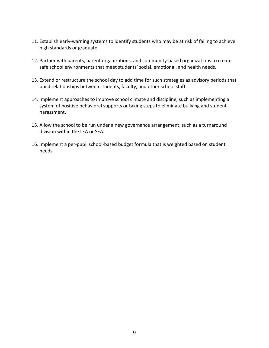- 11. Establish early-warning systems to identify students who may be at risk of failing to achieve high standards or graduate.
- 12. Partner with parents, parent organizations, and community-based organizations to create safe school environments that meet students' social, emotional, and health needs.
- 13. Extend or restructure the school day to add time for such strategies as advisory periods that build relationships between students, faculty, and other school staff.
- 14. Implement approaches to improve school climate and discipline, such as implementing a system of positive behavioral supports or taking steps to eliminate bullying and student harassment.
- 15. Allow the school to be run under a new governance arrangement, such as a turnaround division within the LEA or SEA.
- 16. Implement a per-pupil school-based budget formula that is weighted based on student needs.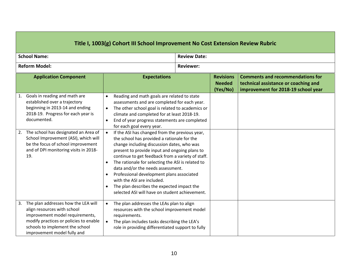| Title I, 1003(g) Cohort III School Improvement No Cost Extension Review Rubric |                                                                                                                                                                                                                                                                                                                              |                                                               |                                                                                                                                                                                                                                                                                                                                                                                                                                                                                                                                                                                                                                                                                                                                                                                                        |  |                                               |                                                                                                                        |  |
|--------------------------------------------------------------------------------|------------------------------------------------------------------------------------------------------------------------------------------------------------------------------------------------------------------------------------------------------------------------------------------------------------------------------|---------------------------------------------------------------|--------------------------------------------------------------------------------------------------------------------------------------------------------------------------------------------------------------------------------------------------------------------------------------------------------------------------------------------------------------------------------------------------------------------------------------------------------------------------------------------------------------------------------------------------------------------------------------------------------------------------------------------------------------------------------------------------------------------------------------------------------------------------------------------------------|--|-----------------------------------------------|------------------------------------------------------------------------------------------------------------------------|--|
| <b>School Name:</b>                                                            |                                                                                                                                                                                                                                                                                                                              |                                                               | <b>Review Date:</b>                                                                                                                                                                                                                                                                                                                                                                                                                                                                                                                                                                                                                                                                                                                                                                                    |  |                                               |                                                                                                                        |  |
| <b>Reform Model:</b>                                                           |                                                                                                                                                                                                                                                                                                                              |                                                               | <b>Reviewer:</b>                                                                                                                                                                                                                                                                                                                                                                                                                                                                                                                                                                                                                                                                                                                                                                                       |  |                                               |                                                                                                                        |  |
|                                                                                | <b>Application Component</b>                                                                                                                                                                                                                                                                                                 |                                                               | <b>Expectations</b>                                                                                                                                                                                                                                                                                                                                                                                                                                                                                                                                                                                                                                                                                                                                                                                    |  | <b>Revisions</b><br><b>Needed</b><br>(Yes/No) | <b>Comments and recommendations for</b><br>technical assistance or coaching and<br>improvement for 2018-19 school year |  |
| 1.<br>2.                                                                       | Goals in reading and math are<br>established over a trajectory<br>beginning in 2013-14 and ending<br>2018-19. Progress for each year is<br>documented.<br>The school has designated an Area of<br>School Improvement (ASI), which will<br>be the focus of school improvement<br>and of DPI monitoring visits in 2018-<br>19. | $\bullet$<br>$\bullet$<br>$\bullet$<br>$\bullet$<br>$\bullet$ | Reading and math goals are related to state<br>assessments and are completed for each year.<br>The other school goal is related to academics or<br>climate and completed for at least 2018-19.<br>End of year progress statements are completed<br>for each goal every year.<br>If the ASI has changed from the previous year,<br>the school has provided a rationale for the<br>change including discussion dates, who was<br>present to provide input and ongoing plans to<br>continue to get feedback from a variety of staff.<br>The rationale for selecting the ASI is related to<br>data and/or the needs assessment.<br>Professional development plans associated<br>with the ASI are included.<br>The plan describes the expected impact the<br>selected ASI will have on student achievement. |  |                                               |                                                                                                                        |  |
|                                                                                | 3. The plan addresses how the LEA will<br>align resources with school<br>improvement model requirements,<br>modify practices or policies to enable<br>schools to implement the school<br>improvement model fully and                                                                                                         | $\bullet$<br>$\bullet$                                        | The plan addresses the LEAs plan to align<br>resources with the school improvement model<br>requirements.<br>The plan includes tasks describing the LEA's<br>role in providing differentiated support to fully                                                                                                                                                                                                                                                                                                                                                                                                                                                                                                                                                                                         |  |                                               |                                                                                                                        |  |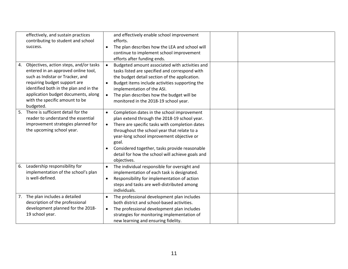|    | effectively, and sustain practices<br>contributing to student and school<br>success.                                                                                                                                                                                              | $\bullet$                           | and effectively enable school improvement<br>efforts.<br>The plan describes how the LEA and school will<br>continue to implement school improvement<br>efforts after funding ends.                                                                                                                                                                                    |  |
|----|-----------------------------------------------------------------------------------------------------------------------------------------------------------------------------------------------------------------------------------------------------------------------------------|-------------------------------------|-----------------------------------------------------------------------------------------------------------------------------------------------------------------------------------------------------------------------------------------------------------------------------------------------------------------------------------------------------------------------|--|
| 4. | Objectives, action steps, and/or tasks<br>entered in an approved online tool,<br>such as Indistar or Tracker, and<br>requiring budget support are<br>identified both in the plan and in the<br>application budget documents, along<br>with the specific amount to be<br>budgeted. | $\bullet$<br>$\bullet$<br>$\bullet$ | Budgeted amount associated with activities and<br>tasks listed are specified and correspond with<br>the budget detail section of the application.<br>Budget items include activities supporting the<br>implementation of the ASI.<br>The plan describes how the budget will be<br>monitored in the 2018-19 school year.                                               |  |
| 5. | There is sufficient detail for the<br>reader to understand the essential<br>improvement strategies planned for<br>the upcoming school year.                                                                                                                                       | $\bullet$<br>$\bullet$<br>$\bullet$ | Completion dates in the school improvement<br>plan extend through the 2018-19 school year.<br>There are specific tasks with completion dates<br>throughout the school year that relate to a<br>year-long school improvement objective or<br>goal.<br>Considered together, tasks provide reasonable<br>detail for how the school will achieve goals and<br>objectives. |  |
| 6. | Leadership responsibility for<br>implementation of the school's plan<br>is well-defined.                                                                                                                                                                                          | $\bullet$<br>$\bullet$              | The individual responsible for oversight and<br>implementation of each task is designated.<br>Responsibility for implementation of action<br>steps and tasks are well-distributed among<br>individuals.                                                                                                                                                               |  |
| 7. | The plan includes a detailed<br>description of the professional<br>development planned for the 2018-<br>19 school year.                                                                                                                                                           | $\bullet$                           | The professional development plan includes<br>both district and school-based activities.<br>The professional development plan includes<br>strategies for monitoring implementation of<br>new learning and ensuring fidelity.                                                                                                                                          |  |